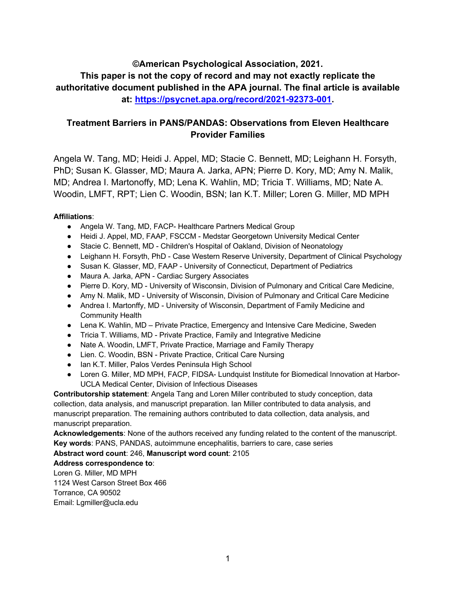**©American Psychological Association, 2021. This paper is not the copy of record and may not exactly replicate the authoritative document published in the APA journal. The final article is available at: https://psycnet.apa.org/record/2021-92373-001.**

# **Treatment Barriers in PANS/PANDAS: Observations from Eleven Healthcare Provider Families**

Angela W. Tang, MD; Heidi J. Appel, MD; Stacie C. Bennett, MD; Leighann H. Forsyth, PhD; Susan K. Glasser, MD; Maura A. Jarka, APN; Pierre D. Kory, MD; Amy N. Malik, MD; Andrea I. Martonoffy, MD; Lena K. Wahlin, MD; Tricia T. Williams, MD; Nate A. Woodin, LMFT, RPT; Lien C. Woodin, BSN; Ian K.T. Miller; Loren G. Miller, MD MPH

## **Affiliations**:

- Angela W. Tang, MD, FACP- Healthcare Partners Medical Group
- Heidi J. Appel, MD, FAAP, FSCCM Medstar Georgetown University Medical Center
- Stacie C. Bennett, MD Children's Hospital of Oakland, Division of Neonatology
- Leighann H. Forsyth, PhD Case Western Reserve University, Department of Clinical Psychology
- Susan K. Glasser, MD, FAAP University of Connecticut, Department of Pediatrics
- Maura A. Jarka, APN Cardiac Surgery Associates
- Pierre D. Kory, MD University of Wisconsin, Division of Pulmonary and Critical Care Medicine,
- Amy N. Malik, MD University of Wisconsin, Division of Pulmonary and Critical Care Medicine
- Andrea I. Martonffy, MD University of Wisconsin, Department of Family Medicine and Community Health
- Lena K. Wahlin, MD Private Practice, Emergency and Intensive Care Medicine, Sweden
- Tricia T. Williams, MD Private Practice, Family and Integrative Medicine
- Nate A. Woodin, LMFT, Private Practice, Marriage and Family Therapy
- Lien. C. Woodin, BSN Private Practice, Critical Care Nursing
- Ian K.T. Miller, Palos Verdes Peninsula High School
- Loren G. Miller, MD MPH, FACP, FIDSA- Lundquist Institute for Biomedical Innovation at Harbor-UCLA Medical Center, Division of Infectious Diseases

**Contributorship statement**: Angela Tang and Loren Miller contributed to study conception, data collection, data analysis, and manuscript preparation. Ian Miller contributed to data analysis, and manuscript preparation. The remaining authors contributed to data collection, data analysis, and manuscript preparation.

**Acknowledgements**: None of the authors received any funding related to the content of the manuscript. **Key words**: PANS, PANDAS, autoimmune encephalitis, barriers to care, case series

#### **Abstract word count**: 246, **Manuscript word count**: 2105

#### **Address correspondence to**:

Loren G. Miller, MD MPH 1124 West Carson Street Box 466 Torrance, CA 90502 Email: Lgmiller@ucla.edu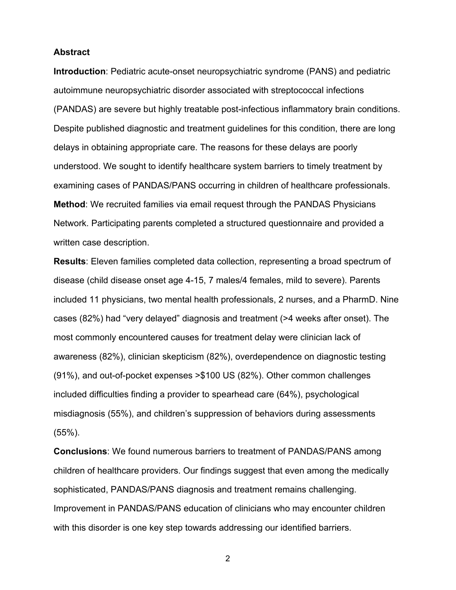### **Abstract**

**Introduction**: Pediatric acute-onset neuropsychiatric syndrome (PANS) and pediatric autoimmune neuropsychiatric disorder associated with streptococcal infections (PANDAS) are severe but highly treatable post-infectious inflammatory brain conditions. Despite published diagnostic and treatment guidelines for this condition, there are long delays in obtaining appropriate care. The reasons for these delays are poorly understood. We sought to identify healthcare system barriers to timely treatment by examining cases of PANDAS/PANS occurring in children of healthcare professionals. **Method**: We recruited families via email request through the PANDAS Physicians Network. Participating parents completed a structured questionnaire and provided a written case description.

**Results**: Eleven families completed data collection, representing a broad spectrum of disease (child disease onset age 4-15, 7 males/4 females, mild to severe). Parents included 11 physicians, two mental health professionals, 2 nurses, and a PharmD. Nine cases (82%) had "very delayed" diagnosis and treatment (>4 weeks after onset). The most commonly encountered causes for treatment delay were clinician lack of awareness (82%), clinician skepticism (82%), overdependence on diagnostic testing (91%), and out-of-pocket expenses >\$100 US (82%). Other common challenges included difficulties finding a provider to spearhead care (64%), psychological misdiagnosis (55%), and children's suppression of behaviors during assessments (55%).

**Conclusions**: We found numerous barriers to treatment of PANDAS/PANS among children of healthcare providers. Our findings suggest that even among the medically sophisticated, PANDAS/PANS diagnosis and treatment remains challenging. Improvement in PANDAS/PANS education of clinicians who may encounter children with this disorder is one key step towards addressing our identified barriers.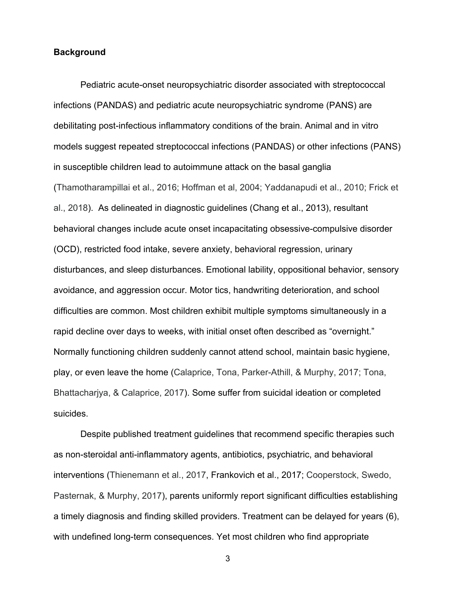## **Background**

Pediatric acute-onset neuropsychiatric disorder associated with streptococcal infections (PANDAS) and pediatric acute neuropsychiatric syndrome (PANS) are debilitating post-infectious inflammatory conditions of the brain. Animal and in vitro models suggest repeated streptococcal infections (PANDAS) or other infections (PANS) in susceptible children lead to autoimmune attack on the basal ganglia (Thamotharampillai et al., 2016; Hoffman et al, 2004; Yaddanapudi et al., 2010; Frick et al., 2018). As delineated in diagnostic guidelines (Chang et al., 2013), resultant behavioral changes include acute onset incapacitating obsessive-compulsive disorder (OCD), restricted food intake, severe anxiety, behavioral regression, urinary disturbances, and sleep disturbances. Emotional lability, oppositional behavior, sensory avoidance, and aggression occur. Motor tics, handwriting deterioration, and school difficulties are common. Most children exhibit multiple symptoms simultaneously in a rapid decline over days to weeks, with initial onset often described as "overnight." Normally functioning children suddenly cannot attend school, maintain basic hygiene, play, or even leave the home (Calaprice, Tona, Parker-Athill, & Murphy, 2017; Tona, Bhattacharjya, & Calaprice, 2017). Some suffer from suicidal ideation or completed suicides.

Despite published treatment guidelines that recommend specific therapies such as non-steroidal anti-inflammatory agents, antibiotics, psychiatric, and behavioral interventions (Thienemann et al., 2017, Frankovich et al., 2017; Cooperstock, Swedo, Pasternak, & Murphy, 2017), parents uniformly report significant difficulties establishing a timely diagnosis and finding skilled providers. Treatment can be delayed for years (6), with undefined long-term consequences. Yet most children who find appropriate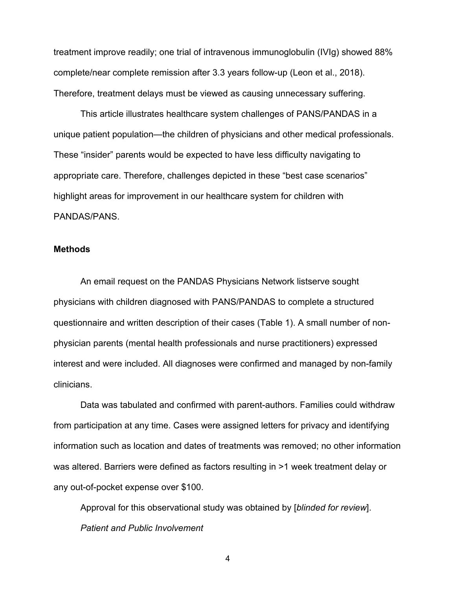treatment improve readily; one trial of intravenous immunoglobulin (IVIg) showed 88% complete/near complete remission after 3.3 years follow-up (Leon et al., 2018). Therefore, treatment delays must be viewed as causing unnecessary suffering.

This article illustrates healthcare system challenges of PANS/PANDAS in a unique patient population—the children of physicians and other medical professionals. These "insider" parents would be expected to have less difficulty navigating to appropriate care. Therefore, challenges depicted in these "best case scenarios" highlight areas for improvement in our healthcare system for children with PANDAS/PANS.

#### **Methods**

An email request on the PANDAS Physicians Network listserve sought physicians with children diagnosed with PANS/PANDAS to complete a structured questionnaire and written description of their cases (Table 1). A small number of nonphysician parents (mental health professionals and nurse practitioners) expressed interest and were included. All diagnoses were confirmed and managed by non-family clinicians.

Data was tabulated and confirmed with parent-authors. Families could withdraw from participation at any time. Cases were assigned letters for privacy and identifying information such as location and dates of treatments was removed; no other information was altered. Barriers were defined as factors resulting in >1 week treatment delay or any out-of-pocket expense over \$100.

Approval for this observational study was obtained by [*blinded for review*]. *Patient and Public Involvement*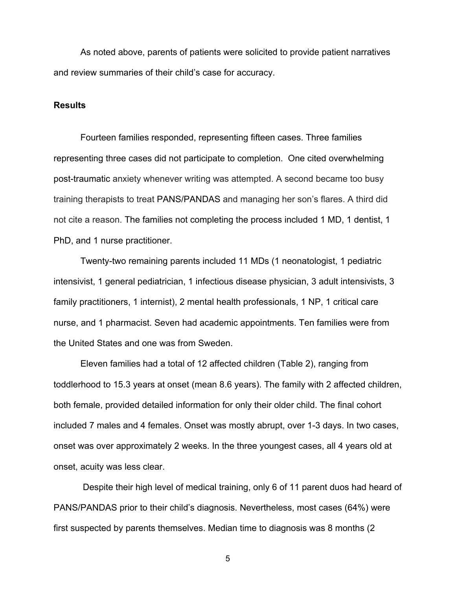As noted above, parents of patients were solicited to provide patient narratives and review summaries of their child's case for accuracy.

### **Results**

Fourteen families responded, representing fifteen cases. Three families representing three cases did not participate to completion. One cited overwhelming post-traumatic anxiety whenever writing was attempted. A second became too busy training therapists to treat PANS/PANDAS and managing her son's flares. A third did not cite a reason. The families not completing the process included 1 MD, 1 dentist, 1 PhD, and 1 nurse practitioner.

Twenty-two remaining parents included 11 MDs (1 neonatologist, 1 pediatric intensivist, 1 general pediatrician, 1 infectious disease physician, 3 adult intensivists, 3 family practitioners, 1 internist), 2 mental health professionals, 1 NP, 1 critical care nurse, and 1 pharmacist. Seven had academic appointments. Ten families were from the United States and one was from Sweden.

Eleven families had a total of 12 affected children (Table 2), ranging from toddlerhood to 15.3 years at onset (mean 8.6 years). The family with 2 affected children, both female, provided detailed information for only their older child. The final cohort included 7 males and 4 females. Onset was mostly abrupt, over 1-3 days. In two cases, onset was over approximately 2 weeks. In the three youngest cases, all 4 years old at onset, acuity was less clear.

Despite their high level of medical training, only 6 of 11 parent duos had heard of PANS/PANDAS prior to their child's diagnosis. Nevertheless, most cases (64%) were first suspected by parents themselves. Median time to diagnosis was 8 months (2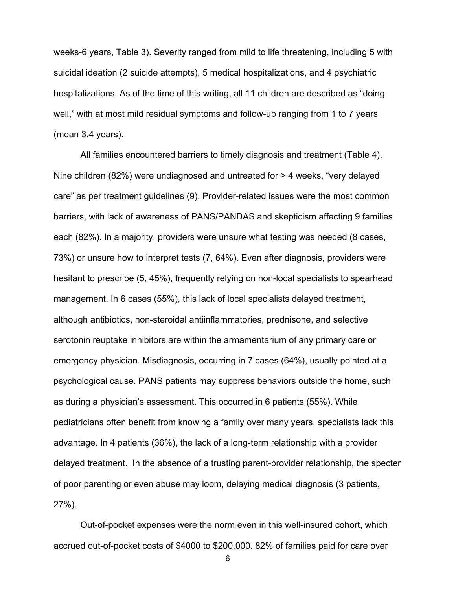weeks-6 years, Table 3). Severity ranged from mild to life threatening, including 5 with suicidal ideation (2 suicide attempts), 5 medical hospitalizations, and 4 psychiatric hospitalizations. As of the time of this writing, all 11 children are described as "doing well," with at most mild residual symptoms and follow-up ranging from 1 to 7 years (mean 3.4 years).

All families encountered barriers to timely diagnosis and treatment (Table 4). Nine children (82%) were undiagnosed and untreated for > 4 weeks, "very delayed care" as per treatment guidelines (9). Provider-related issues were the most common barriers, with lack of awareness of PANS/PANDAS and skepticism affecting 9 families each (82%). In a majority, providers were unsure what testing was needed (8 cases, 73%) or unsure how to interpret tests (7, 64%). Even after diagnosis, providers were hesitant to prescribe (5, 45%), frequently relying on non-local specialists to spearhead management. In 6 cases (55%), this lack of local specialists delayed treatment, although antibiotics, non-steroidal antiinflammatories, prednisone, and selective serotonin reuptake inhibitors are within the armamentarium of any primary care or emergency physician. Misdiagnosis, occurring in 7 cases (64%), usually pointed at a psychological cause. PANS patients may suppress behaviors outside the home, such as during a physician's assessment. This occurred in 6 patients (55%). While pediatricians often benefit from knowing a family over many years, specialists lack this advantage. In 4 patients (36%), the lack of a long-term relationship with a provider delayed treatment. In the absence of a trusting parent-provider relationship, the specter of poor parenting or even abuse may loom, delaying medical diagnosis (3 patients, 27%).

Out-of-pocket expenses were the norm even in this well-insured cohort, which accrued out-of-pocket costs of \$4000 to \$200,000. 82% of families paid for care over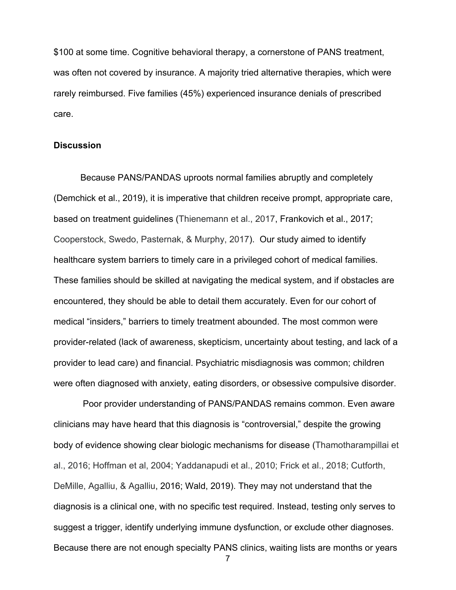\$100 at some time. Cognitive behavioral therapy, a cornerstone of PANS treatment, was often not covered by insurance. A majority tried alternative therapies, which were rarely reimbursed. Five families (45%) experienced insurance denials of prescribed care.

## **Discussion**

Because PANS/PANDAS uproots normal families abruptly and completely (Demchick et al., 2019), it is imperative that children receive prompt, appropriate care, based on treatment guidelines (Thienemann et al., 2017, Frankovich et al., 2017; Cooperstock, Swedo, Pasternak, & Murphy, 2017). Our study aimed to identify healthcare system barriers to timely care in a privileged cohort of medical families. These families should be skilled at navigating the medical system, and if obstacles are encountered, they should be able to detail them accurately. Even for our cohort of medical "insiders," barriers to timely treatment abounded. The most common were provider-related (lack of awareness, skepticism, uncertainty about testing, and lack of a provider to lead care) and financial. Psychiatric misdiagnosis was common; children were often diagnosed with anxiety, eating disorders, or obsessive compulsive disorder.

Poor provider understanding of PANS/PANDAS remains common. Even aware clinicians may have heard that this diagnosis is "controversial," despite the growing body of evidence showing clear biologic mechanisms for disease (Thamotharampillai et al., 2016; Hoffman et al, 2004; Yaddanapudi et al., 2010; Frick et al., 2018; Cutforth, DeMille, Agalliu, & Agalliu, 2016; Wald, 2019). They may not understand that the diagnosis is a clinical one, with no specific test required. Instead, testing only serves to suggest a trigger, identify underlying immune dysfunction, or exclude other diagnoses. Because there are not enough specialty PANS clinics, waiting lists are months or years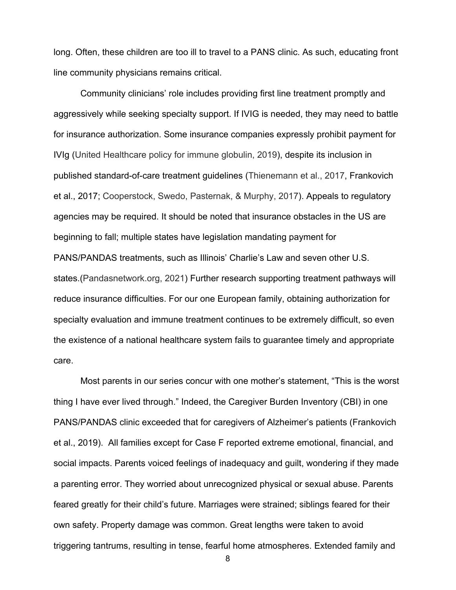long. Often, these children are too ill to travel to a PANS clinic. As such, educating front line community physicians remains critical.

Community clinicians' role includes providing first line treatment promptly and aggressively while seeking specialty support. If IVIG is needed, they may need to battle for insurance authorization. Some insurance companies expressly prohibit payment for IVIg (United Healthcare policy for immune globulin, 2019), despite its inclusion in published standard-of-care treatment guidelines (Thienemann et al., 2017, Frankovich et al., 2017; Cooperstock, Swedo, Pasternak, & Murphy, 2017). Appeals to regulatory agencies may be required. It should be noted that insurance obstacles in the US are beginning to fall; multiple states have legislation mandating payment for PANS/PANDAS treatments, such as Illinois' Charlie's Law and seven other U.S. states.(Pandasnetwork.org, 2021) Further research supporting treatment pathways will reduce insurance difficulties. For our one European family, obtaining authorization for specialty evaluation and immune treatment continues to be extremely difficult, so even the existence of a national healthcare system fails to guarantee timely and appropriate care.

Most parents in our series concur with one mother's statement, "This is the worst thing I have ever lived through." Indeed, the Caregiver Burden Inventory (CBI) in one PANS/PANDAS clinic exceeded that for caregivers of Alzheimer's patients (Frankovich et al., 2019). All families except for Case F reported extreme emotional, financial, and social impacts. Parents voiced feelings of inadequacy and guilt, wondering if they made a parenting error. They worried about unrecognized physical or sexual abuse. Parents feared greatly for their child's future. Marriages were strained; siblings feared for their own safety. Property damage was common. Great lengths were taken to avoid triggering tantrums, resulting in tense, fearful home atmospheres. Extended family and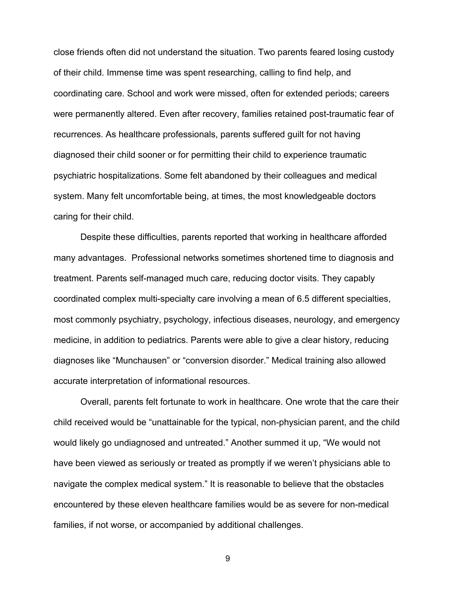close friends often did not understand the situation. Two parents feared losing custody of their child. Immense time was spent researching, calling to find help, and coordinating care. School and work were missed, often for extended periods; careers were permanently altered. Even after recovery, families retained post-traumatic fear of recurrences. As healthcare professionals, parents suffered guilt for not having diagnosed their child sooner or for permitting their child to experience traumatic psychiatric hospitalizations. Some felt abandoned by their colleagues and medical system. Many felt uncomfortable being, at times, the most knowledgeable doctors caring for their child.

Despite these difficulties, parents reported that working in healthcare afforded many advantages. Professional networks sometimes shortened time to diagnosis and treatment. Parents self-managed much care, reducing doctor visits. They capably coordinated complex multi-specialty care involving a mean of 6.5 different specialties, most commonly psychiatry, psychology, infectious diseases, neurology, and emergency medicine, in addition to pediatrics. Parents were able to give a clear history, reducing diagnoses like "Munchausen" or "conversion disorder." Medical training also allowed accurate interpretation of informational resources.

Overall, parents felt fortunate to work in healthcare. One wrote that the care their child received would be "unattainable for the typical, non-physician parent, and the child would likely go undiagnosed and untreated." Another summed it up, "We would not have been viewed as seriously or treated as promptly if we weren't physicians able to navigate the complex medical system." It is reasonable to believe that the obstacles encountered by these eleven healthcare families would be as severe for non-medical families, if not worse, or accompanied by additional challenges.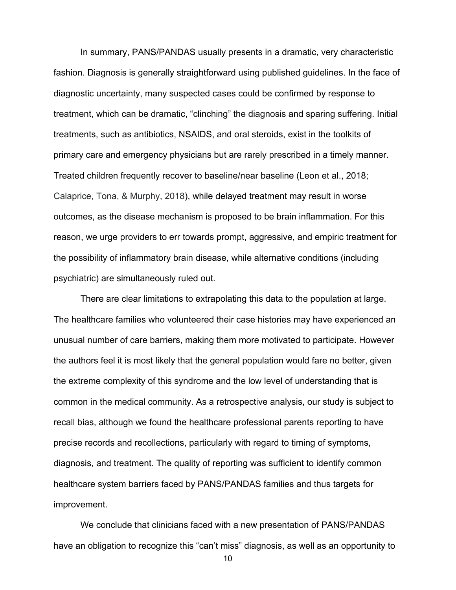In summary, PANS/PANDAS usually presents in a dramatic, very characteristic fashion. Diagnosis is generally straightforward using published guidelines. In the face of diagnostic uncertainty, many suspected cases could be confirmed by response to treatment, which can be dramatic, "clinching" the diagnosis and sparing suffering. Initial treatments, such as antibiotics, NSAIDS, and oral steroids, exist in the toolkits of primary care and emergency physicians but are rarely prescribed in a timely manner. Treated children frequently recover to baseline/near baseline (Leon et al., 2018; Calaprice, Tona, & Murphy, 2018), while delayed treatment may result in worse outcomes, as the disease mechanism is proposed to be brain inflammation. For this reason, we urge providers to err towards prompt, aggressive, and empiric treatment for the possibility of inflammatory brain disease, while alternative conditions (including psychiatric) are simultaneously ruled out.

There are clear limitations to extrapolating this data to the population at large. The healthcare families who volunteered their case histories may have experienced an unusual number of care barriers, making them more motivated to participate. However the authors feel it is most likely that the general population would fare no better, given the extreme complexity of this syndrome and the low level of understanding that is common in the medical community. As a retrospective analysis, our study is subject to recall bias, although we found the healthcare professional parents reporting to have precise records and recollections, particularly with regard to timing of symptoms, diagnosis, and treatment. The quality of reporting was sufficient to identify common healthcare system barriers faced by PANS/PANDAS families and thus targets for improvement.

We conclude that clinicians faced with a new presentation of PANS/PANDAS have an obligation to recognize this "can't miss" diagnosis, as well as an opportunity to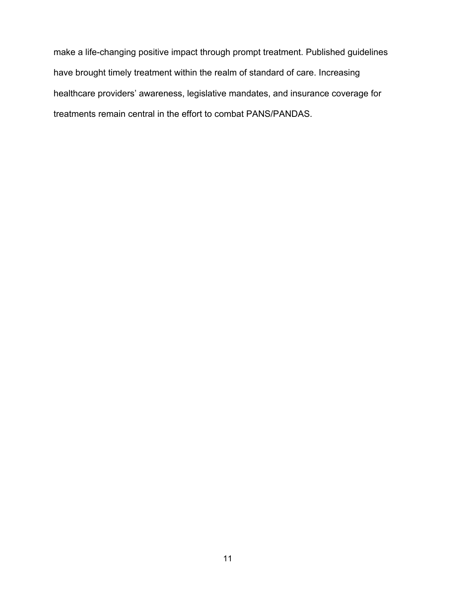make a life-changing positive impact through prompt treatment. Published guidelines have brought timely treatment within the realm of standard of care. Increasing healthcare providers' awareness, legislative mandates, and insurance coverage for treatments remain central in the effort to combat PANS/PANDAS.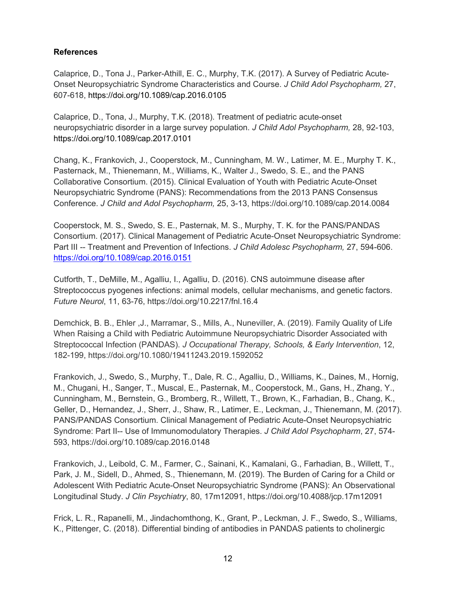## **References**

Calaprice, D., Tona J., Parker-Athill, E. C., Murphy, T.K. (2017). A Survey of Pediatric Acute-Onset Neuropsychiatric Syndrome Characteristics and Course. *J Child Adol Psychopharm,* 27, 607-618, https://doi.org/10.1089/cap.2016.0105

Calaprice, D., Tona, J., Murphy, T.K. (2018). Treatment of pediatric acute-onset neuropsychiatric disorder in a large survey population. *J Child Adol Psychopharm,* 28, 92-103, https://doi.org/10.1089/cap.2017.0101

Chang, K., Frankovich, J., Cooperstock, M., Cunningham, M. W., Latimer, M. E., Murphy T. K., Pasternack, M., Thienemann, M., Williams, K., Walter J., Swedo, S. E., and the PANS Collaborative Consortium. (2015). Clinical Evaluation of Youth with Pediatric Acute-Onset Neuropsychiatric Syndrome (PANS): Recommendations from the 2013 PANS Consensus Conference. *J Child and Adol Psychopharm,* 25, 3-13, https://doi.org/10.1089/cap.2014.0084

Cooperstock, M. S., Swedo, S. E., Pasternak, M. S., Murphy, T. K. for the PANS/PANDAS Consortium. (2017). Clinical Management of Pediatric Acute-Onset Neuropsychiatric Syndrome: Part III -- Treatment and Prevention of Infections. *J Child Adolesc Psychopharm,* 27, 594-606. https://doi.org/10.1089/cap.2016.0151

Cutforth, T., DeMille, M., Agalliu, I., Agalliu, D. (2016). CNS autoimmune disease after Streptococcus pyogenes infections: animal models, cellular mechanisms, and genetic factors. *Future Neurol*, 11, 63-76, https://doi.org/10.2217/fnl.16.4

Demchick, B. B., Ehler ,J., Marramar, S., Mills, A., Nuneviller, A. (2019). Family Quality of Life When Raising a Child with Pediatric Autoimmune Neuropsychiatric Disorder Associated with Streptococcal Infection (PANDAS). *J Occupational Therapy, Schools, & Early Intervention*, 12, 182-199, https://doi.org/10.1080/19411243.2019.1592052

Frankovich, J., Swedo, S., Murphy, T., Dale, R. C., Agalliu, D., Williams, K., Daines, M., Hornig, M., Chugani, H., Sanger, T., Muscal, E., Pasternak, M., Cooperstock, M., Gans, H., Zhang, Y., Cunningham, M., Bernstein, G., Bromberg, R., Willett, T., Brown, K., Farhadian, B., Chang, K., Geller, D., Hernandez, J., Sherr, J., Shaw, R., Latimer, E., Leckman, J., Thienemann, M. (2017). PANS/PANDAS Consortium. Clinical Management of Pediatric Acute-Onset Neuropsychiatric Syndrome: Part II-- Use of Immunomodulatory Therapies. *J Child Adol Psychopharm*, 27, 574- 593, https://doi.org/10.1089/cap.2016.0148

Frankovich, J., Leibold, C. M., Farmer, C., Sainani, K., Kamalani, G., Farhadian, B., Willett, T., Park, J. M., Sidell, D., Ahmed, S., Thienemann, M. (2019). The Burden of Caring for a Child or Adolescent With Pediatric Acute-Onset Neuropsychiatric Syndrome (PANS): An Observational Longitudinal Study. *J Clin Psychiatry*, 80, 17m12091, https://doi.org/10.4088/jcp.17m12091

Frick, L. R., Rapanelli, M., Jindachomthong, K., Grant, P., Leckman, J. F., Swedo, S., Williams, K., Pittenger, C. (2018). Differential binding of antibodies in PANDAS patients to cholinergic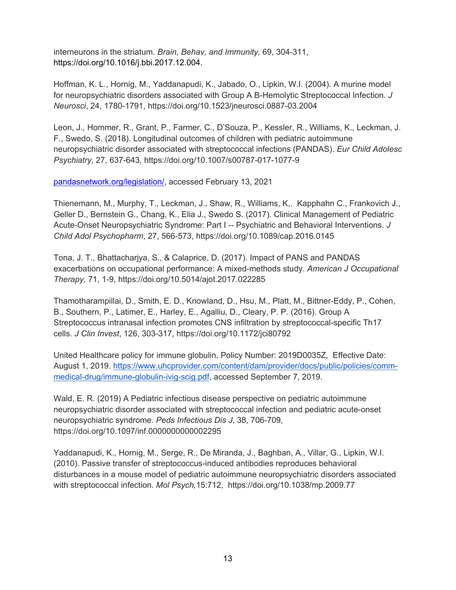interneurons in the striatum. *Brain, Behav, and Immunity,* 69, 304-311, https://doi.org/10.1016/j.bbi.2017.12.004.

Hoffman, K. L., Hornig, M., Yaddanapudi, K., Jabado, O., Lipkin, W.I. (2004). A murine model for neuropsychiatric disorders associated with Group A B-Hemolytic Streptococcal Infection. *J Neurosci*, 24, 1780-1791, https://doi.org/10.1523/jneurosci.0887-03.2004

Leon, J., Hommer, R., Grant, P., Farmer, C., D'Souza, P., Kessler, R., Williams, K., Leckman, J. F., Swedo, S. (2018). Longitudinal outcomes of children with pediatric autoimmune neuropsychiatric disorder associated with streptococcal infections (PANDAS). *Eur Child Adolesc Psychiatry*, 27, 637-643, https://doi.org/10.1007/s00787-017-1077-9

pandasnetwork.org/legislation/, accessed February 13, 2021

Thienemann, M., Murphy, T., Leckman, J., Shaw, R., Williams, K,. Kapphahn C., Frankovich J., Geller D., Bernstein G., Chang, K., Elia J., Swedo S. (2017). Clinical Management of Pediatric Acute-Onset Neuropsychiatric Syndrome: Part I -- Psychiatric and Behavioral Interventions. *J Child Adol Psychopharm*, 27, 566-573, https://doi.org/10.1089/cap.2016.0145

Tona, J. T., Bhattacharjya, S., & Calaprice, D. (2017). Impact of PANS and PANDAS exacerbations on occupational performance: A mixed-methods study. *American J Occupational Therapy,* 71, 1-9, https://doi.org/10.5014/ajot.2017.022285

Thamotharampillai, D., Smith, E. D., Knowland, D., Hsu, M., Platt, M., Bittner-Eddy, P., Cohen, B., Southern, P., Latimer, E., Harley, E., Agalliu, D., Cleary, P. P. (2016). Group A Streptococcus intranasal infection promotes CNS infiltration by streptococcal-specific Th17 cells. *J Clin Invest*, 126, 303-317, https://doi.org/10.1172/jci80792

United Healthcare policy for immune globulin, Policy Number: 2019D0035Z, Effective Date: August 1, 2019. https://www.uhcprovider.com/content/dam/provider/docs/public/policies/commmedical-drug/immune-globulin-ivig-scig.pdf, accessed September 7, 2019.

Wald, E. R. (2019) A Pediatric infectious disease perspective on pediatric autoimmune neuropsychiatric disorder associated with streptococcal infection and pediatric acute-onset neuropsychiatric syndrome. *Peds Infectious Dis J*, 38, 706-709, https://doi.org/10.1097/inf.0000000000002295

Yaddanapudi, K., Hornig, M., Serge, R., De Miranda, J., Baghban, A., Villar, G., Lipkin, W.I. (2010). Passive transfer of streptococcus-induced antibodies reproduces behavioral disturbances in a mouse model of pediatric autoimmune neuropsychiatric disorders associated with streptococcal infection. *Mol Psych,*15:712, https://doi.org/10.1038/mp.2009.77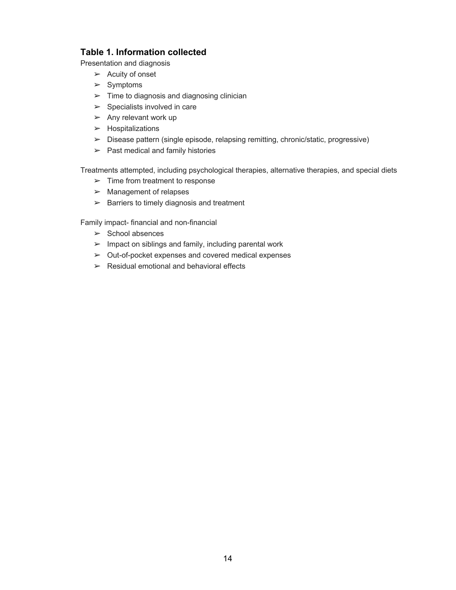## **Table 1. Information collected**

Presentation and diagnosis

- $\blacktriangleright$  Acuity of onset
- ➢ Symptoms
- $\geq$  Time to diagnosis and diagnosing clinician
- $\triangleright$  Specialists involved in care
- $\blacktriangleright$  Any relevant work up
- ➢ Hospitalizations
- ➢ Disease pattern (single episode, relapsing remitting, chronic/static, progressive)
- $\blacktriangleright$  Past medical and family histories

Treatments attempted, including psychological therapies, alternative therapies, and special diets

- $\blacktriangleright$  Time from treatment to response
- $\blacktriangleright$  Management of relapses
- $\triangleright$  Barriers to timely diagnosis and treatment

Family impact- financial and non-financial

- $\triangleright$  School absences
- $\blacktriangleright$  Impact on siblings and family, including parental work
- ➢ Out-of-pocket expenses and covered medical expenses
- $\triangleright$  Residual emotional and behavioral effects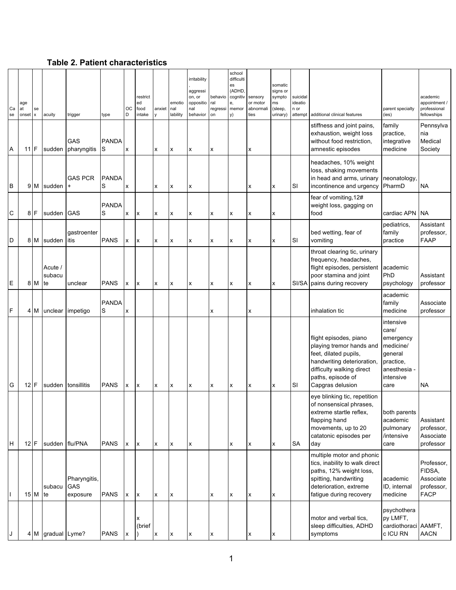**Table 2. Patient characteristics**

|          |                    |                    |                   |                             |                   |              |                         |        |                           | irritability                 |                           | school<br>difficulti     |                               |                               |                            |                                                             |                                  |                                              |
|----------|--------------------|--------------------|-------------------|-----------------------------|-------------------|--------------|-------------------------|--------|---------------------------|------------------------------|---------------------------|--------------------------|-------------------------------|-------------------------------|----------------------------|-------------------------------------------------------------|----------------------------------|----------------------------------------------|
|          |                    |                    |                   |                             |                   |              | restrict                |        |                           | aggressi<br>on, or           | behavio                   | es<br>(ADHD,<br>cognitiv | sensory                       | somatic<br>signs or<br>sympto | suicidal                   |                                                             |                                  | academic                                     |
| Ca<br>se | age<br>at<br>onset | se<br>$\mathsf{x}$ | acuity            | trigger                     | type              | ОC<br>D      | ed<br>food<br>intake    | anxiet | emotio<br>nal<br>lability | oppositio<br>nal<br>behavior | ral<br>regressi<br>on     | e,<br>memor<br>y)        | or motor<br>abnormali<br>ties | ms<br>(sleep,<br>urinary)     | ideatio<br>n or<br>attempt | additional clinical features                                | parent specialty<br>(ies)        | appointment /<br>professional<br>fellowships |
|          |                    |                    |                   |                             |                   |              |                         |        |                           |                              |                           |                          |                               |                               |                            | stiffness and joint pains,                                  | family                           | Pennsylva                                    |
|          |                    |                    |                   | GAS                         | <b>PANDA</b>      |              |                         |        |                           |                              |                           |                          |                               |                               |                            | exhaustion, weight loss<br>without food restriction,        | practice,<br>integrative         | nia<br>Medical                               |
| Α        | $11$ F             |                    | sudden            | pharyngitis                 | S                 | x            |                         | x      | x                         | X                            | x                         |                          | х                             |                               |                            | amnestic episodes                                           | medicine                         | Society                                      |
|          |                    |                    |                   |                             |                   |              |                         |        |                           |                              |                           |                          |                               |                               |                            | headaches, 10% weight<br>loss, shaking movements            |                                  |                                              |
| B        |                    | 9 M                | sudden            | <b>GAS PCR</b><br>$\ddot{}$ | <b>PANDA</b><br>S | x            |                         | X      | X                         | X                            |                           |                          | x                             | X                             | SI                         | in head and arms, urinary<br>incontinence and urgency       | neonatology.<br>PharmD           | <b>NA</b>                                    |
|          |                    |                    |                   |                             | <b>PANDA</b>      |              |                         |        |                           |                              |                           |                          |                               |                               |                            | fear of vomiting, 12#<br>weight loss, gagging on            |                                  |                                              |
| C        |                    | $8$ F              | sudden GAS        |                             | S                 | X            | X                       | x      | x                         | $\pmb{\mathsf{x}}$           | x                         | x                        | X                             | $\boldsymbol{\mathsf{x}}$     |                            | food                                                        | cardiac APN                      | <b>NA</b>                                    |
|          |                    |                    |                   | gastroenter                 |                   |              |                         |        |                           |                              |                           |                          |                               |                               |                            | bed wetting, fear of                                        | pediatrics,<br>family            | Assistant<br>professor,                      |
| D        |                    | 8 M                | sudden            | litis                       | <b>PANS</b>       | <b>x</b>     | X                       | x      | x                         | $\pmb{\mathsf{x}}$           | x                         | x                        | X                             | $\boldsymbol{x}$              | SI                         | vomiting                                                    | practice                         | <b>FAAP</b>                                  |
|          |                    |                    |                   |                             |                   |              |                         |        |                           |                              |                           |                          |                               |                               |                            | throat clearing tic, urinary<br>frequency, headaches,       |                                  |                                              |
|          |                    |                    | Acute /<br>subacu |                             |                   |              |                         |        |                           |                              |                           |                          |                               |                               |                            | flight episodes, persistent<br>poor stamina and joint       | academic<br>PhD                  | Assistant                                    |
| Ε        |                    | 8 M                | te                | unclear                     | <b>PANS</b>       | X            | <b>x</b>                | x      | X                         | X                            | x                         | x                        | x                             | X                             | SI/SA                      | pains during recovery                                       | psychology                       | professor                                    |
|          |                    |                    |                   |                             | <b>PANDA</b>      |              |                         |        |                           |                              |                           |                          |                               |                               |                            |                                                             | academic<br>family               | Associate                                    |
| F        |                    | 4 M                |                   | unclear impetigo            | S                 | x            |                         |        |                           |                              | X                         |                          | x                             |                               |                            | inhalation tic                                              | medicine<br>intensive            | professor                                    |
|          |                    |                    |                   |                             |                   |              |                         |        |                           |                              |                           |                          |                               |                               |                            |                                                             | care/                            |                                              |
|          |                    |                    |                   |                             |                   |              |                         |        |                           |                              |                           |                          |                               |                               |                            | flight episodes, piano<br>playing tremor hands and          | emergency<br>medicine/           |                                              |
|          |                    |                    |                   |                             |                   |              |                         |        |                           |                              |                           |                          |                               |                               |                            | feet, dilated pupils,<br>handwriting deterioration,         | general<br>practice,             |                                              |
|          |                    |                    |                   |                             |                   |              |                         |        |                           |                              |                           |                          |                               |                               |                            | difficulty walking direct<br>paths, episode of              | anesthesia -<br>intensive        |                                              |
| G        | $12$ F             |                    |                   | sudden tonsillitis          | <b>PANS</b>       | $\mathbf{x}$ | $\mathsf{I}\mathsf{x}$  | x      | X                         | $\pmb{\times}$               | $\boldsymbol{\mathsf{x}}$ | x                        | X                             | $\pmb{\times}$                | SI                         | Capgras delusion                                            | care                             | <b>NA</b>                                    |
|          |                    |                    |                   |                             |                   |              |                         |        |                           |                              |                           |                          |                               |                               |                            | eye blinking tic, repetition<br>of nonsensical phrases,     |                                  |                                              |
|          |                    |                    |                   |                             |                   |              |                         |        |                           |                              |                           |                          |                               |                               |                            | extreme startle reflex.<br>flapping hand                    | both parents<br>academic         | Assistant                                    |
|          |                    |                    |                   |                             |                   |              |                         |        |                           |                              |                           |                          |                               |                               |                            | movements, up to 20<br>catatonic episodes per               | pulmonary<br>/intensive          | professor,<br>Associate                      |
| Н        | $12$ F             |                    | sudden flu/PNA    |                             | <b>PANS</b>       | $\mathbf{x}$ | $\mathsf{I} \mathsf{X}$ | X      | $\pmb{\mathsf{x}}$        | $\pmb{\times}$               |                           | x                        | X                             | $\pmb{\times}$                | SA                         | day                                                         | care                             | professor                                    |
|          |                    |                    |                   |                             |                   |              |                         |        |                           |                              |                           |                          |                               |                               |                            | multiple motor and phonic<br>tics, inability to walk direct |                                  | Professor,                                   |
|          |                    |                    |                   | Pharyngitis,                |                   |              |                         |        |                           |                              |                           |                          |                               |                               |                            | paths, 12% weight loss,<br>spitting, handwriting            | academic                         | FIDSA,<br>Associate                          |
|          |                    | $15$ M te          | subacu            | GAS<br>exposure             | <b>PANS</b>       | x            | $\mathsf{I} \mathsf{x}$ | X      | $\pmb{\mathsf{x}}$        |                              | $\pmb{\mathsf{x}}$        | x                        | x                             | $\pmb{\times}$                |                            | deterioration, extreme<br>fatigue during recovery           | ID, internal<br>medicine         | professor,<br><b>FACP</b>                    |
|          |                    |                    |                   |                             |                   |              |                         |        |                           |                              |                           |                          |                               |                               |                            |                                                             | psychothera                      |                                              |
|          |                    |                    |                   |                             |                   |              | х<br>(brief             |        |                           |                              |                           |                          |                               |                               |                            | motor and verbal tics,<br>sleep difficulties, ADHD          | py LMFT,<br>cardiothoraci AAMFT, |                                              |
| J        |                    | 4 M                | gradual Lyme?     |                             | PANS              | X            |                         | x      | x                         | x                            | X                         |                          |                               | x                             |                            | symptoms                                                    | c ICU RN                         | <b>AACN</b>                                  |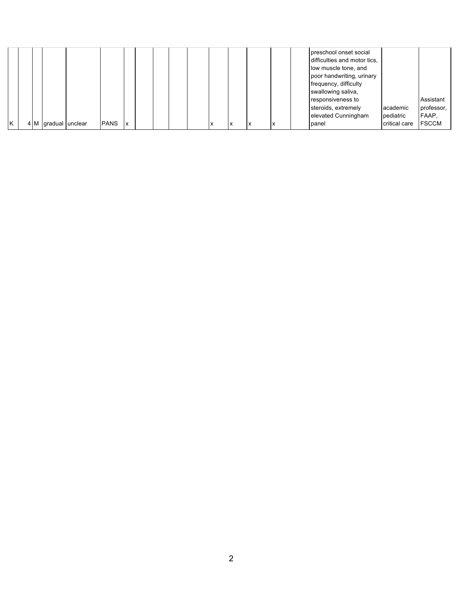|  |                     |             |                        |  |  |           |           |   |                          | preschool onset social<br>difficulties and motor tics,<br>low muscle tone, and<br>poor handwriting, urinary<br>frequency, difficulty<br>swallowing saliva,<br>responsiveness to<br>steroids, extremely<br>elevated Cunningham | academic<br>pediatric | Assistant<br>professor,<br>FAAP, |
|--|---------------------|-------------|------------------------|--|--|-----------|-----------|---|--------------------------|-------------------------------------------------------------------------------------------------------------------------------------------------------------------------------------------------------------------------------|-----------------------|----------------------------------|
|  | 4 M gradual unclear | <b>PANS</b> | $\mathsf{I}\mathsf{x}$ |  |  | $\lambda$ | $\lambda$ | ́ | $\overline{\phantom{a}}$ | panel                                                                                                                                                                                                                         | critical care         | <b>FSCCM</b>                     |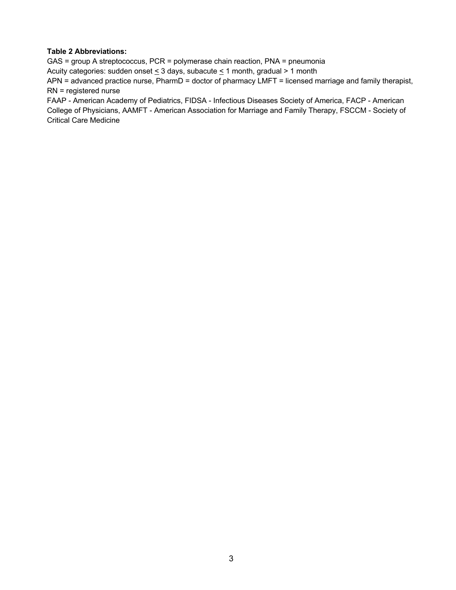#### **Table 2 Abbreviations:**

GAS = group A streptococcus, PCR = polymerase chain reaction, PNA = pneumonia

Acuity categories: sudden onset  $\leq$  3 days, subacute  $\leq$  1 month, gradual > 1 month

APN = advanced practice nurse, PharmD = doctor of pharmacy LMFT = licensed marriage and family therapist, RN = registered nurse

FAAP - American Academy of Pediatrics, FIDSA - Infectious Diseases Society of America, FACP - American College of Physicians, AAMFT - American Association for Marriage and Family Therapy, FSCCM - Society of Critical Care Medicine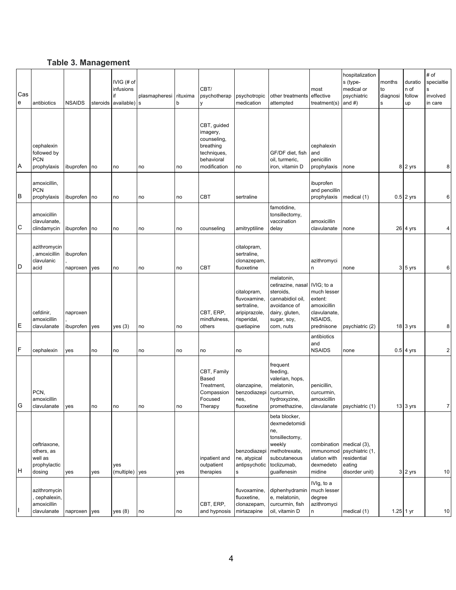# **Table 3. Management**

| Cas<br>${\bf e}$ | antibiotics                                                     | <b>NSAIDS</b>         | steroids | IVIG (# of<br>infusions<br>if<br>available) | plasmapheresi<br><b>s</b> | rituxima<br>b | CBT/<br>psychotherap<br>y                                                                        | psychotropic<br>medication                                                               | other treatments<br>attempted                                                                                                    | most<br>effective<br>treatment(s) and $#$ )                                                  | hospitalization<br>s (type-<br>medical or<br>psychiatric             | months<br>to<br>diagnosi<br>s | duratio<br>n of<br>follow<br>up | $\#$ of<br>specialtie<br>s<br>involved<br>in care |
|------------------|-----------------------------------------------------------------|-----------------------|----------|---------------------------------------------|---------------------------|---------------|--------------------------------------------------------------------------------------------------|------------------------------------------------------------------------------------------|----------------------------------------------------------------------------------------------------------------------------------|----------------------------------------------------------------------------------------------|----------------------------------------------------------------------|-------------------------------|---------------------------------|---------------------------------------------------|
| A                | cephalexin<br>followed by<br><b>PCN</b><br>prophylaxis          | ibuprofen no          |          | no                                          | no                        | no            | CBT, guided<br>imagery,<br>counseling,<br>breathing<br>techniques,<br>behavioral<br>modification | no                                                                                       | GF/DF diet. fish<br>oil, turmeric,<br>iron, vitamin D                                                                            | cephalexin<br>and<br>penicillin<br>prophylaxis                                               | none                                                                 |                               | 8 2 yrs                         | 8                                                 |
| B                | amoxicillin,<br><b>PCN</b><br>prophylaxis                       | ibuprofen             | no       | no                                          | no                        | no            | CBT                                                                                              | sertraline                                                                               | ibuprofen<br>and pencillin<br>prophylaxis                                                                                        |                                                                                              | medical (1)                                                          |                               | $0.5$ 2 yrs                     | 6                                                 |
| C                | amoxicillin<br>clavulanate,<br>clindamycin                      | ibuprofen             | no       | no                                          | no                        | no            | counseling                                                                                       | amitryptiline                                                                            | famotidine,<br>tonsillectomy,<br>vaccination<br>delay                                                                            | amoxicillin<br>clavulanate                                                                   | none                                                                 |                               | $26$ 4 yrs                      | $\overline{4}$                                    |
| D                | azithromycin<br>amoxicillin<br>clavulanic<br>acid               | ibuprofen<br>naproxen | yes      | no                                          | no                        | no            | CBT                                                                                              | citalopram,<br>sertraline,<br>clonazepam,<br>fluoxetine                                  |                                                                                                                                  | azithromyci<br>n                                                                             | none                                                                 |                               | $3\,5$ yrs                      | 6                                                 |
| E                | cefdinir,<br>amoxicillin<br>clavulanate                         | naproxen<br>ibuprofen | yes      | yes(3)                                      | no                        | no            | CBT, ERP,<br>mindfulness,<br>others                                                              | citalopram,<br>fluvoxamine,<br>sertraline,<br>aripiprazole,<br>risperidal,<br>quetiapine | melatonin,<br>cetirazine, nasal<br>steroids,<br>cannabidiol oil,<br>avoidance of<br>dairy, gluten,<br>sugar, soy,<br>corn, nuts  | IVIG; to a<br>much lesser<br>extent:<br>amoxicillin<br>clavulanate,<br>NSAIDS,<br>prednisone | psychiatric (2)                                                      |                               | 18 3 yrs                        | 8                                                 |
| $\mathsf F$      | cephalexin                                                      | yes                   | no       | no                                          | no                        | no            | no                                                                                               | no                                                                                       |                                                                                                                                  | antibiotics<br>and<br><b>NSAIDS</b>                                                          | none                                                                 |                               | $0.5$ 4 yrs                     | $\overline{2}$                                    |
| G                | PCN,<br>amoxicillin<br>clavulanate                              | yes                   | no       | no                                          | no                        | no            | CBT, Family<br><b>Based</b><br>Treatment,<br>Compassion<br>Focused<br>Therapy                    | olanzapine,<br>benzodiazepi<br>nes,<br>fluoxetine                                        | frequent<br>feeding,<br>valerian, hops,<br>melatonin,<br>curcurmin,<br>hydroxyzine,<br>promethazine,                             | penicillin,<br>curcurmin,<br>amoxicillin<br>clavulanate                                      | psychiatric (1)                                                      |                               | 13 3 yrs                        | $\overline{7}$                                    |
| Iн               | ceftriaxone,<br>others, as<br>well as<br>prophylactic<br>dosing | yes                   | yes      | yes<br>(multiple)                           | yes                       | yes           | inpatient and<br>outpatient<br>therapies                                                         | benzodiazepi<br>ne, atypical<br>antipsychotic<br>s                                       | beta blocker,<br>dexmedetomidi<br>ne,<br>tonsillectomy,<br>weekly<br>methotrexate,<br>subcutaneous<br>toclizumab,<br>guaifenesin | combination   medical (3),<br>ulation with<br>dexmedeto<br>midine                            | immunomod psychiatric (1,<br>residential<br>eating<br>disorder unit) |                               | 3 2 yrs                         | 10                                                |
| Ш                | azithromycin<br>cephalexin,<br>amoxicillin<br>clavulanate       | naproxen yes          |          | yes(8)                                      | no                        | no            | CBT, ERP,<br>and hypnosis                                                                        | fluvoxamine,<br>fluoxetine,<br>clonazepam,<br>mirtazapine                                | diphenhydramin<br>e, melatonin,<br>curcurmin, fish<br>oil, vitamin D                                                             | IVIg, to a<br>much lesser<br>degree<br>azithromyci<br>n                                      | medical (1)                                                          |                               | $1.25$ 1 yr                     | 10                                                |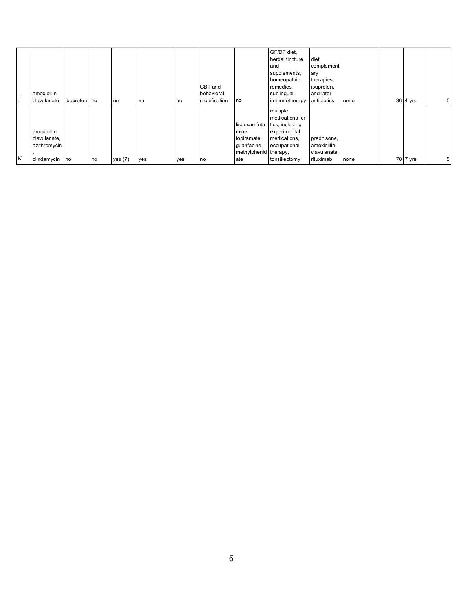| J | amoxicillin<br>clavulanate                                    | ibuprofen no |    | no        | no  | no  | CBT and<br>behavioral<br>modification | no                                                                                  | GF/DF diet,<br>herbal tincture<br>and<br>supplements,<br>homeopathic<br>remedies,<br>sublingual<br>immunotherapy | diet,<br>complement<br>ary<br>therapies,<br>ibuprofen,<br>and later<br>antibiotics | none | 36 4 yrs | 5 <sub>5</sub> |
|---|---------------------------------------------------------------|--------------|----|-----------|-----|-----|---------------------------------------|-------------------------------------------------------------------------------------|------------------------------------------------------------------------------------------------------------------|------------------------------------------------------------------------------------|------|----------|----------------|
| K | amoxicillin<br>clavulanate,<br>azithromycin<br>clindamycin no |              | no | yes $(7)$ | yes | yes | no                                    | lisdexamfeta<br>mine,<br>topiramate,<br>guanfacine,<br>methylphenid therapy,<br>ate | multiple<br>medications for<br>tics, including<br>experimental<br>medications,<br>occupational<br>tonsillectomy  | prednisone,<br>amoxicillin<br>clavulanate,<br>rituximab                            | none | 70 7 yrs | 5 <sub>1</sub> |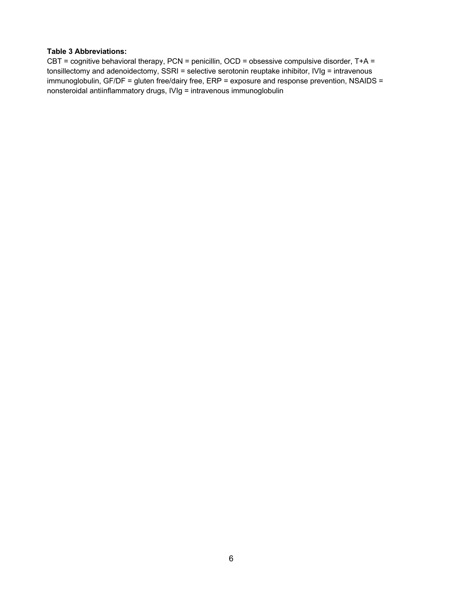#### **Table 3 Abbreviations:**

CBT = cognitive behavioral therapy, PCN = penicillin, OCD = obsessive compulsive disorder, T+A = tonsillectomy and adenoidectomy, SSRI = selective serotonin reuptake inhibitor, IVIg = intravenous immunoglobulin, GF/DF = gluten free/dairy free, ERP = exposure and response prevention, NSAIDS = nonsteroidal antiinflammatory drugs, IVIg = intravenous immunoglobulin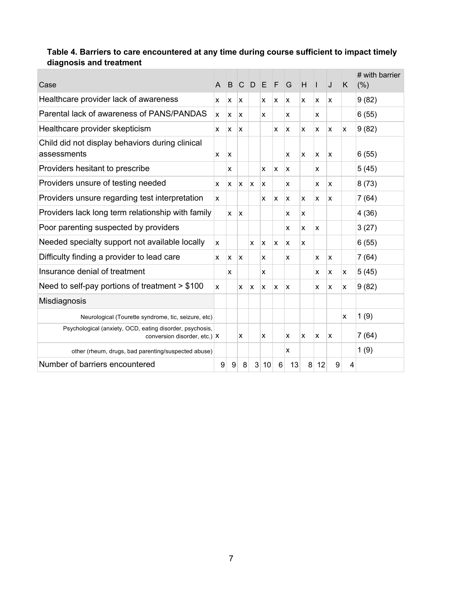# **Table 4. Barriers to care encountered at any time during course sufficient to impact timely diagnosis and treatment**

| Case                                                                                         | $\mathsf{A}$     | B            |   | C D E        |    | F | G        | H | $\mathsf{I}$ | J | K  | # with barrier<br>(% ) |
|----------------------------------------------------------------------------------------------|------------------|--------------|---|--------------|----|---|----------|---|--------------|---|----|------------------------|
| Healthcare provider lack of awareness                                                        | x                | X            | x |              | x  | x | <b>X</b> | x | x            | x |    | 9(82)                  |
| Parental lack of awareness of PANS/PANDAS                                                    | X                | x            | x |              | x  |   | x        |   | x            |   |    | 6(55)                  |
| Healthcare provider skepticism                                                               | X                | X            | X |              |    | x | <b>X</b> | X | X            | x | X. | 9(82)                  |
| Child did not display behaviors during clinical<br>assessments                               | X                | $\mathsf{x}$ |   |              |    |   | X        | X | X            | x |    | 6(55)                  |
| Providers hesitant to prescribe                                                              |                  | x            |   |              | x  | x | x        |   | x            |   |    | 5(45)                  |
| Providers unsure of testing needed                                                           | x                | x            | x | x            | x  |   | X        |   | x            | x |    | 8(73)                  |
| Providers unsure regarding test interpretation                                               | x                |              |   |              | x  | x | x        | X | X            | x |    | 7(64)                  |
| Providers lack long term relationship with family                                            |                  | X            | x |              |    |   | x        | x |              |   |    | 4(36)                  |
| Poor parenting suspected by providers                                                        |                  |              |   |              |    |   | x        | x | x            |   |    | 3(27)                  |
| Needed specialty support not available locally                                               | x                |              |   | x            | x  | x | ΙX.      | X |              |   |    | 6(55)                  |
| Difficulty finding a provider to lead care                                                   | x                | x            | x |              | x  |   | X        |   | X            | x |    | 7(64)                  |
| Insurance denial of treatment                                                                |                  | x            |   |              | x  |   |          |   | x            | x | x  | 5(45)                  |
| Need to self-pay portions of treatment $> $100$                                              | X                |              | x | X            | X  | x | x        |   | X            | X | x  | 9(82)                  |
| Misdiagnosis                                                                                 |                  |              |   |              |    |   |          |   |              |   |    |                        |
| Neurological (Tourette syndrome, tic, seizure, etc)                                          |                  |              |   |              |    |   |          |   |              |   | x  | 1(9)                   |
| Psychological (anxiety, OCD, eating disorder, psychosis,<br>conversion disorder, etc.) $ X $ |                  |              | X |              | x  |   | X        | x | X            | x |    | 7(64)                  |
| other (rheum, drugs, bad parenting/suspected abuse)                                          |                  |              |   |              |    |   | X        |   |              |   |    | 1(9)                   |
| Number of barriers encountered                                                               | $\boldsymbol{9}$ | 9            | 8 | $\mathbf{3}$ | 10 | 6 | 13       | 8 | 12           | 9 | 4  |                        |